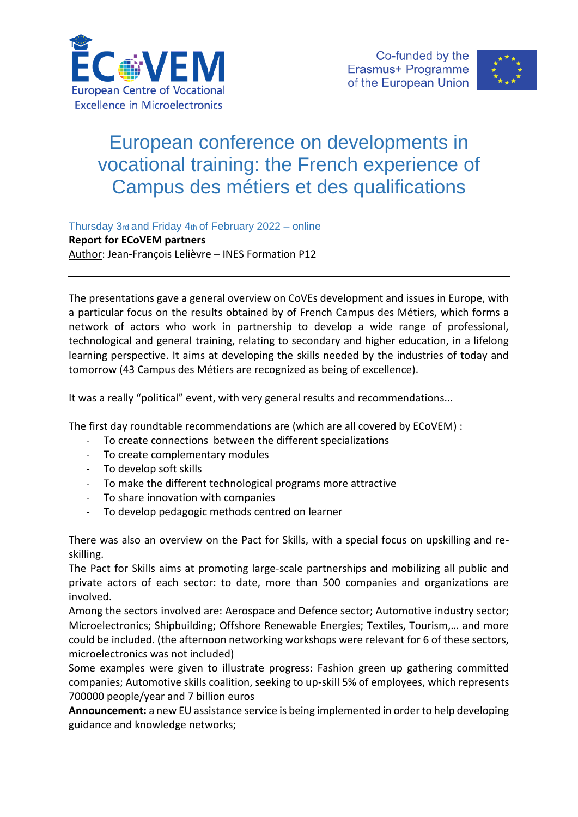



## European conference on developments in vocational training: the French experience of Campus des métiers et des qualifications

Thursday 3rd and Friday 4th of February 2022 – online **Report for ECoVEM partners**  Author: Jean-François Lelièvre – INES Formation P12

The presentations gave a general overview on CoVEs development and issues in Europe, with a particular focus on the results obtained by of French Campus des Métiers, which forms a network of actors who work in partnership to develop a wide range of professional, technological and general training, relating to secondary and higher education, in a lifelong learning perspective. It aims at developing the skills needed by the industries of today and tomorrow (43 Campus des Métiers are recognized as being of excellence).

It was a really "political" event, with very general results and recommendations...

The first day roundtable recommendations are (which are all covered by ECoVEM) :

- To create connections between the different specializations
- To create complementary modules
- To develop soft skills
- To make the different technological programs more attractive
- To share innovation with companies
- To develop pedagogic methods centred on learner

There was also an overview on the Pact for Skills, with a special focus on upskilling and reskilling.

The Pact for Skills aims at promoting large-scale partnerships and mobilizing all public and private actors of each sector: to date, more than 500 companies and organizations are involved.

Among the sectors involved are: Aerospace and Defence sector; Automotive industry sector; Microelectronics; Shipbuilding; Offshore Renewable Energies; Textiles, Tourism,… and more could be included. (the afternoon networking workshops were relevant for 6 of these sectors, microelectronics was not included)

Some examples were given to illustrate progress: Fashion green up gathering committed companies; Automotive skills coalition, seeking to up-skill 5% of employees, which represents 700000 people/year and 7 billion euros

**Announcement:** a new EU assistance service is being implemented in order to help developing guidance and knowledge networks;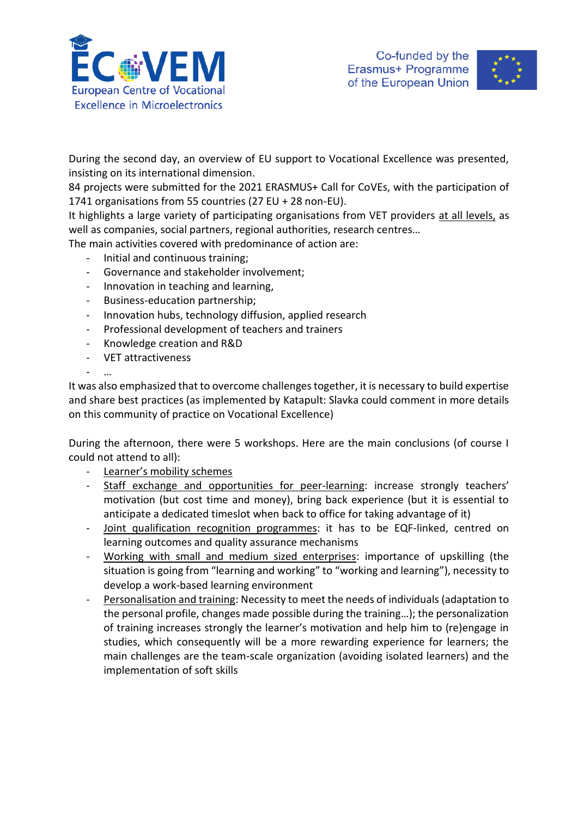



During the second day, an overview of EU support to Vocational Excellence was presented, insisting on its international dimension.

84 projects were submitted for the 2021 ERASMUS+ Call for CoVEs, with the participation of 1741 organisations from 55 countries (27 EU + 28 non-EU).

It highlights a large variety of participating organisations from VET providers at all levels, as well as companies, social partners, regional authorities, research centres…

The main activities covered with predominance of action are:

- Initial and continuous training;
- Governance and stakeholder involvement;
- Innovation in teaching and learning,
- Business-education partnership;
- Innovation hubs, technology diffusion, applied research
- Professional development of teachers and trainers
- Knowledge creation and R&D
- VET attractiveness

- …

It was also emphasized that to overcome challenges together, it is necessary to build expertise and share best practices (as implemented by Katapult: Slavka could comment in more details on this community of practice on Vocational Excellence)

During the afternoon, there were 5 workshops. Here are the main conclusions (of course I could not attend to all):

- Learner's mobility schemes
- Staff exchange and opportunities for peer-learning: increase strongly teachers' motivation (but cost time and money), bring back experience (but it is essential to anticipate a dedicated timeslot when back to office for taking advantage of it)
- Joint qualification recognition programmes: it has to be EQF-linked, centred on learning outcomes and quality assurance mechanisms
- Working with small and medium sized enterprises: importance of upskilling (the situation is going from "learning and working" to "working and learning"), necessity to develop a work-based learning environment
- Personalisation and training: Necessity to meet the needs of individuals (adaptation to the personal profile, changes made possible during the training…); the personalization of training increases strongly the learner's motivation and help him to (re)engage in studies, which consequently will be a more rewarding experience for learners; the main challenges are the team-scale organization (avoiding isolated learners) and the implementation of soft skills